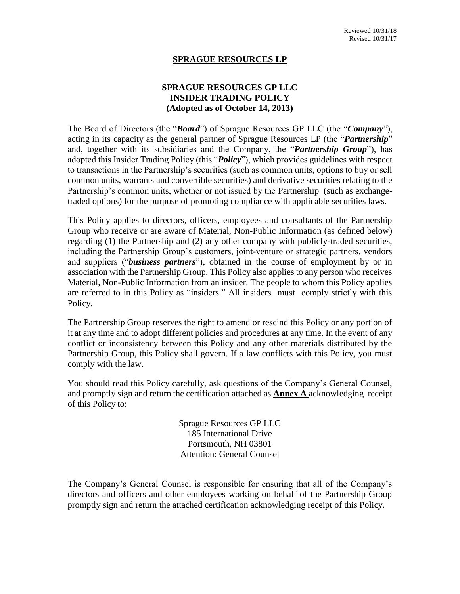#### **SPRAGUE RESOURCES LP**

## **SPRAGUE RESOURCES GP LLC INSIDER TRADING POLICY (Adopted as of October 14, 2013)**

The Board of Directors (the "*Board*") of Sprague Resources GP LLC (the "*Company*"), acting in its capacity as the general partner of Sprague Resources LP (the "*Partnership*" and, together with its subsidiaries and the Company, the "*Partnership Group*"), has adopted this Insider Trading Policy (this "*Policy*"), which provides guidelines with respect to transactions in the Partnership's securities (such as common units, options to buy or sell common units, warrants and convertible securities) and derivative securities relating to the Partnership's common units, whether or not issued by the Partnership (such as exchangetraded options) for the purpose of promoting compliance with applicable securities laws.

This Policy applies to directors, officers, employees and consultants of the Partnership Group who receive or are aware of Material, Non-Public Information (as defined below) regarding (1) the Partnership and (2) any other company with publicly-traded securities, including the Partnership Group's customers, joint-venture or strategic partners, vendors and suppliers ("*business partners*"), obtained in the course of employment by or in association with the Partnership Group. This Policy also applies to any person who receives Material, Non-Public Information from an insider. The people to whom this Policy applies are referred to in this Policy as "insiders." All insiders must comply strictly with this Policy.

The Partnership Group reserves the right to amend or rescind this Policy or any portion of it at any time and to adopt different policies and procedures at any time. In the event of any conflict or inconsistency between this Policy and any other materials distributed by the Partnership Group, this Policy shall govern. If a law conflicts with this Policy, you must comply with the law.

You should read this Policy carefully, ask questions of the Company's General Counsel, and promptly sign and return the certification attached as **Annex A** acknowledging receipt of this Policy to:

> Sprague Resources GP LLC 185 International Drive Portsmouth, NH 03801 Attention: General Counsel

The Company's General Counsel is responsible for ensuring that all of the Company's directors and officers and other employees working on behalf of the Partnership Group promptly sign and return the attached certification acknowledging receipt of this Policy.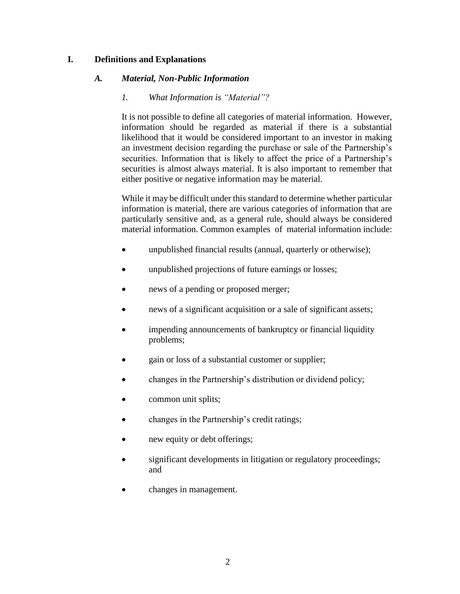### **I. Definitions and Explanations**

#### *A. Material, Non-Public Information*

#### *1. What Information is "Material"?*

It is not possible to define all categories of material information. However, information should be regarded as material if there is a substantial likelihood that it would be considered important to an investor in making an investment decision regarding the purchase or sale of the Partnership's securities. Information that is likely to affect the price of a Partnership's securities is almost always material. It is also important to remember that either positive or negative information may be material.

While it may be difficult under this standard to determine whether particular information is material, there are various categories of information that are particularly sensitive and, as a general rule, should always be considered material information. Common examples of material information include:

- unpublished financial results (annual, quarterly or otherwise);
- unpublished projections of future earnings or losses;
- news of a pending or proposed merger;
- news of a significant acquisition or a sale of significant assets;
- impending announcements of bankruptcy or financial liquidity problems;
- gain or loss of a substantial customer or supplier;
- changes in the Partnership's distribution or dividend policy;
- common unit splits;
- changes in the Partnership's credit ratings;
- new equity or debt offerings;
- significant developments in litigation or regulatory proceedings; and
- changes in management.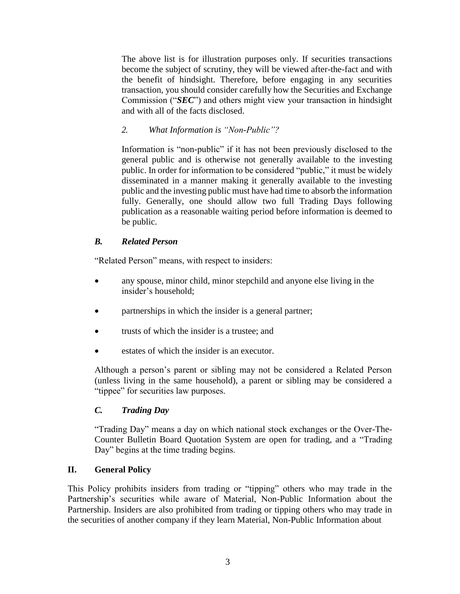The above list is for illustration purposes only. If securities transactions become the subject of scrutiny, they will be viewed after-the-fact and with the benefit of hindsight. Therefore, before engaging in any securities transaction, you should consider carefully how the Securities and Exchange Commission ("*SEC*") and others might view your transaction in hindsight and with all of the facts disclosed.

## *2. What Information is "Non-Public"?*

Information is "non-public" if it has not been previously disclosed to the general public and is otherwise not generally available to the investing public. In order for information to be considered "public," it must be widely disseminated in a manner making it generally available to the investing public and the investing public must have had time to absorb the information fully. Generally, one should allow two full Trading Days following publication as a reasonable waiting period before information is deemed to be public.

## *B. Related Person*

"Related Person" means, with respect to insiders:

- any spouse, minor child, minor stepchild and anyone else living in the insider's household;
- partnerships in which the insider is a general partner;
- trusts of which the insider is a trustee; and
- estates of which the insider is an executor.

Although a person's parent or sibling may not be considered a Related Person (unless living in the same household), a parent or sibling may be considered a "tippee" for securities law purposes.

## *C. Trading Day*

"Trading Day" means a day on which national stock exchanges or the Over-The-Counter Bulletin Board Quotation System are open for trading, and a "Trading Day" begins at the time trading begins.

## **II. General Policy**

This Policy prohibits insiders from trading or "tipping" others who may trade in the Partnership's securities while aware of Material, Non-Public Information about the Partnership. Insiders are also prohibited from trading or tipping others who may trade in the securities of another company if they learn Material, Non-Public Information about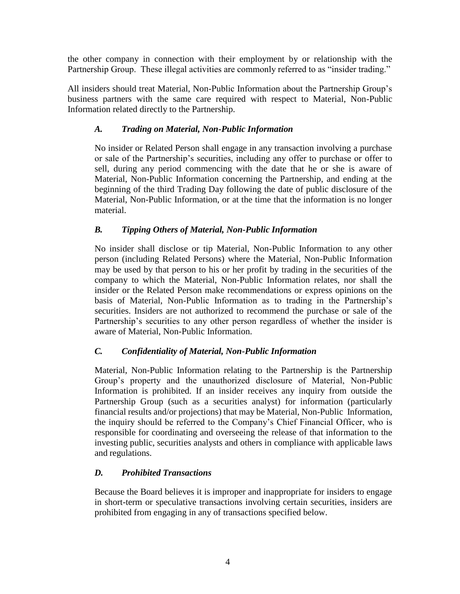the other company in connection with their employment by or relationship with the Partnership Group. These illegal activities are commonly referred to as "insider trading."

All insiders should treat Material, Non-Public Information about the Partnership Group's business partners with the same care required with respect to Material, Non-Public Information related directly to the Partnership.

# *A. Trading on Material, Non-Public Information*

No insider or Related Person shall engage in any transaction involving a purchase or sale of the Partnership's securities, including any offer to purchase or offer to sell, during any period commencing with the date that he or she is aware of Material, Non-Public Information concerning the Partnership, and ending at the beginning of the third Trading Day following the date of public disclosure of the Material, Non-Public Information, or at the time that the information is no longer material.

# *B. Tipping Others of Material, Non-Public Information*

No insider shall disclose or tip Material, Non-Public Information to any other person (including Related Persons) where the Material, Non-Public Information may be used by that person to his or her profit by trading in the securities of the company to which the Material, Non-Public Information relates, nor shall the insider or the Related Person make recommendations or express opinions on the basis of Material, Non-Public Information as to trading in the Partnership's securities. Insiders are not authorized to recommend the purchase or sale of the Partnership's securities to any other person regardless of whether the insider is aware of Material, Non-Public Information.

## *C. Confidentiality of Material, Non-Public Information*

Material, Non-Public Information relating to the Partnership is the Partnership Group's property and the unauthorized disclosure of Material, Non-Public Information is prohibited. If an insider receives any inquiry from outside the Partnership Group (such as a securities analyst) for information (particularly financial results and/or projections) that may be Material, Non-Public Information, the inquiry should be referred to the Company's Chief Financial Officer, who is responsible for coordinating and overseeing the release of that information to the investing public, securities analysts and others in compliance with applicable laws and regulations.

## *D. Prohibited Transactions*

Because the Board believes it is improper and inappropriate for insiders to engage in short-term or speculative transactions involving certain securities, insiders are prohibited from engaging in any of transactions specified below.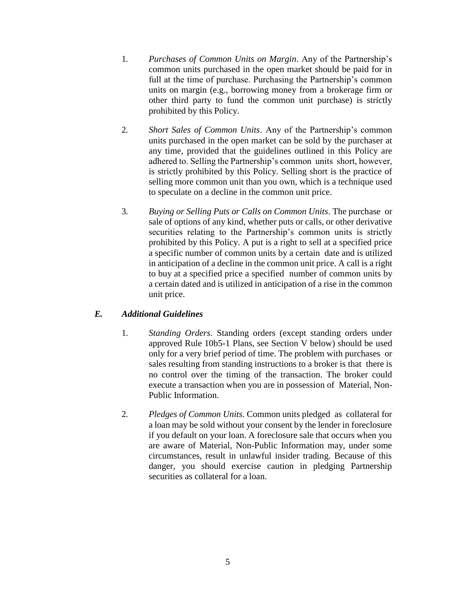- 1. *Purchases of Common Units on Margin*. Any of the Partnership's common units purchased in the open market should be paid for in full at the time of purchase. Purchasing the Partnership's common units on margin (e.g., borrowing money from a brokerage firm or other third party to fund the common unit purchase) is strictly prohibited by this Policy.
- 2. *Short Sales of Common Units*. Any of the Partnership's common units purchased in the open market can be sold by the purchaser at any time, provided that the guidelines outlined in this Policy are adhered to. Selling the Partnership's common units short, however, is strictly prohibited by this Policy. Selling short is the practice of selling more common unit than you own, which is a technique used to speculate on a decline in the common unit price.
- 3. *Buying or Selling Puts or Calls on Common Units*. The purchase or sale of options of any kind, whether puts or calls, or other derivative securities relating to the Partnership's common units is strictly prohibited by this Policy. A put is a right to sell at a specified price a specific number of common units by a certain date and is utilized in anticipation of a decline in the common unit price. A call is a right to buy at a specified price a specified number of common units by a certain dated and is utilized in anticipation of a rise in the common unit price.

# *E. Additional Guidelines*

- 1. *Standing Orders*. Standing orders (except standing orders under approved Rule 10b5-1 Plans, see Section V below) should be used only for a very brief period of time. The problem with purchases or sales resulting from standing instructions to a broker is that there is no control over the timing of the transaction. The broker could execute a transaction when you are in possession of Material, Non-Public Information.
- 2. *Pledges of Common Units*. Common units pledged as collateral for a loan may be sold without your consent by the lender in foreclosure if you default on your loan. A foreclosure sale that occurs when you are aware of Material, Non-Public Information may, under some circumstances, result in unlawful insider trading. Because of this danger, you should exercise caution in pledging Partnership securities as collateral for a loan.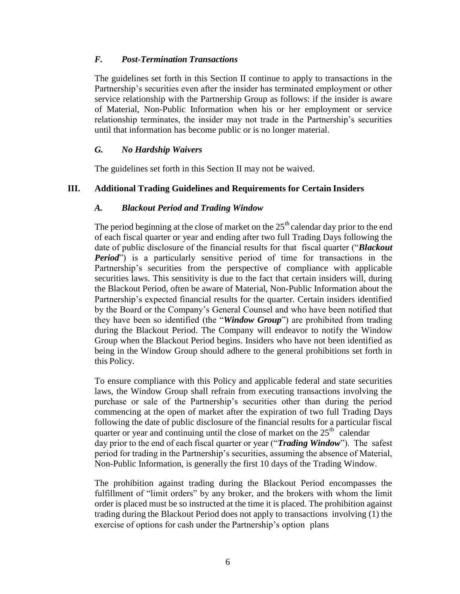## *F. Post-Termination Transactions*

The guidelines set forth in this Section II continue to apply to transactions in the Partnership's securities even after the insider has terminated employment or other service relationship with the Partnership Group as follows: if the insider is aware of Material, Non-Public Information when his or her employment or service relationship terminates, the insider may not trade in the Partnership's securities until that information has become public or is no longer material.

### *G. No Hardship Waivers*

The guidelines set forth in this Section II may not be waived.

## **III. Additional Trading Guidelines and Requirements for Certain Insiders**

### *A. Blackout Period and Trading Window*

The period beginning at the close of market on the  $25<sup>th</sup>$  calendar day prior to the end of each fiscal quarter or year and ending after two full Trading Days following the date of public disclosure of the financial results for that fiscal quarter ("*Blackout Period*") is a particularly sensitive period of time for transactions in the Partnership's securities from the perspective of compliance with applicable securities laws. This sensitivity is due to the fact that certain insiders will, during the Blackout Period, often be aware of Material, Non-Public Information about the Partnership's expected financial results for the quarter. Certain insiders identified by the Board or the Company's General Counsel and who have been notified that they have been so identified (the "*Window Group*") are prohibited from trading during the Blackout Period. The Company will endeavor to notify the Window Group when the Blackout Period begins. Insiders who have not been identified as being in the Window Group should adhere to the general prohibitions set forth in this Policy.

To ensure compliance with this Policy and applicable federal and state securities laws, the Window Group shall refrain from executing transactions involving the purchase or sale of the Partnership's securities other than during the period commencing at the open of market after the expiration of two full Trading Days following the date of public disclosure of the financial results for a particular fiscal quarter or year and continuing until the close of market on the  $25<sup>th</sup>$  calendar day prior to the end of each fiscal quarter or year ("*Trading Window*"). The safest period for trading in the Partnership's securities, assuming the absence of Material, Non-Public Information, is generally the first 10 days of the Trading Window.

The prohibition against trading during the Blackout Period encompasses the fulfillment of "limit orders" by any broker, and the brokers with whom the limit order is placed must be so instructed at the time it is placed. The prohibition against trading during the Blackout Period does not apply to transactions involving (1) the exercise of options for cash under the Partnership's option plans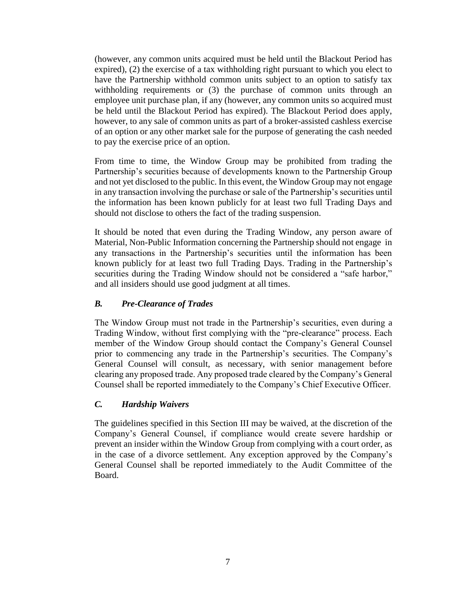(however, any common units acquired must be held until the Blackout Period has expired), (2) the exercise of a tax withholding right pursuant to which you elect to have the Partnership withhold common units subject to an option to satisfy tax withholding requirements or (3) the purchase of common units through an employee unit purchase plan, if any (however, any common units so acquired must be held until the Blackout Period has expired). The Blackout Period does apply, however, to any sale of common units as part of a broker-assisted cashless exercise of an option or any other market sale for the purpose of generating the cash needed to pay the exercise price of an option.

From time to time, the Window Group may be prohibited from trading the Partnership's securities because of developments known to the Partnership Group and not yet disclosed to the public. In this event, the Window Group may not engage in any transaction involving the purchase or sale of the Partnership's securities until the information has been known publicly for at least two full Trading Days and should not disclose to others the fact of the trading suspension.

It should be noted that even during the Trading Window, any person aware of Material, Non-Public Information concerning the Partnership should not engage in any transactions in the Partnership's securities until the information has been known publicly for at least two full Trading Days. Trading in the Partnership's securities during the Trading Window should not be considered a "safe harbor," and all insiders should use good judgment at all times.

## *B. Pre-Clearance of Trades*

The Window Group must not trade in the Partnership's securities, even during a Trading Window, without first complying with the "pre-clearance" process. Each member of the Window Group should contact the Company's General Counsel prior to commencing any trade in the Partnership's securities. The Company's General Counsel will consult, as necessary, with senior management before clearing any proposed trade. Any proposed trade cleared by the Company's General Counsel shall be reported immediately to the Company's Chief Executive Officer.

## *C. Hardship Waivers*

The guidelines specified in this Section III may be waived, at the discretion of the Company's General Counsel, if compliance would create severe hardship or prevent an insider within the Window Group from complying with a court order, as in the case of a divorce settlement. Any exception approved by the Company's General Counsel shall be reported immediately to the Audit Committee of the Board.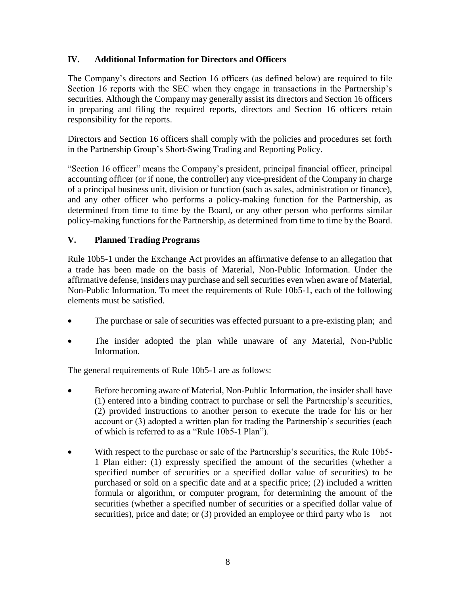# **IV. Additional Information for Directors and Officers**

The Company's directors and Section 16 officers (as defined below) are required to file Section 16 reports with the SEC when they engage in transactions in the Partnership's securities. Although the Company may generally assist its directors and Section 16 officers in preparing and filing the required reports, directors and Section 16 officers retain responsibility for the reports.

Directors and Section 16 officers shall comply with the policies and procedures set forth in the Partnership Group's Short-Swing Trading and Reporting Policy.

"Section 16 officer" means the Company's president, principal financial officer, principal accounting officer (or if none, the controller) any vice-president of the Company in charge of a principal business unit, division or function (such as sales, administration or finance), and any other officer who performs a policy-making function for the Partnership, as determined from time to time by the Board, or any other person who performs similar policy-making functions for the Partnership, as determined from time to time by the Board.

# **V. Planned Trading Programs**

Rule 10b5-1 under the Exchange Act provides an affirmative defense to an allegation that a trade has been made on the basis of Material, Non-Public Information. Under the affirmative defense, insiders may purchase and sell securities even when aware of Material, Non-Public Information. To meet the requirements of Rule 10b5-1, each of the following elements must be satisfied.

- The purchase or sale of securities was effected pursuant to a pre-existing plan; and
- The insider adopted the plan while unaware of any Material, Non-Public Information.

The general requirements of Rule 10b5-1 are as follows:

- Before becoming aware of Material, Non-Public Information, the insider shall have (1) entered into a binding contract to purchase or sell the Partnership's securities, (2) provided instructions to another person to execute the trade for his or her account or (3) adopted a written plan for trading the Partnership's securities (each of which is referred to as a "Rule 10b5-1 Plan").
- With respect to the purchase or sale of the Partnership's securities, the Rule 10b5- 1 Plan either: (1) expressly specified the amount of the securities (whether a specified number of securities or a specified dollar value of securities) to be purchased or sold on a specific date and at a specific price; (2) included a written formula or algorithm, or computer program, for determining the amount of the securities (whether a specified number of securities or a specified dollar value of securities), price and date; or (3) provided an employee or third party who is not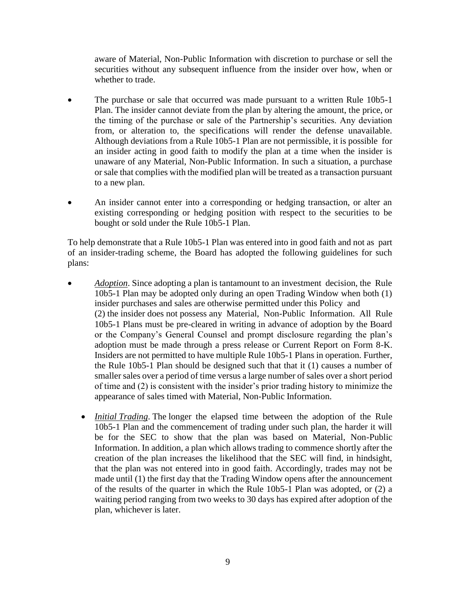aware of Material, Non-Public Information with discretion to purchase or sell the securities without any subsequent influence from the insider over how, when or whether to trade.

- The purchase or sale that occurred was made pursuant to a written Rule 10b5-1 Plan. The insider cannot deviate from the plan by altering the amount, the price, or the timing of the purchase or sale of the Partnership's securities. Any deviation from, or alteration to, the specifications will render the defense unavailable. Although deviations from a Rule 10b5-1 Plan are not permissible, it is possible for an insider acting in good faith to modify the plan at a time when the insider is unaware of any Material, Non-Public Information. In such a situation, a purchase or sale that complies with the modified plan will be treated as a transaction pursuant to a new plan.
- An insider cannot enter into a corresponding or hedging transaction, or alter an existing corresponding or hedging position with respect to the securities to be bought or sold under the Rule 10b5-1 Plan.

To help demonstrate that a Rule 10b5-1 Plan was entered into in good faith and not as part of an insider-trading scheme, the Board has adopted the following guidelines for such plans:

- *Adoption*. Since adopting a plan is tantamount to an investment decision, the Rule 10b5-1 Plan may be adopted only during an open Trading Window when both (1) insider purchases and sales are otherwise permitted under this Policy and (2) the insider does not possess any Material, Non-Public Information. All Rule 10b5-1 Plans must be pre-cleared in writing in advance of adoption by the Board or the Company's General Counsel and prompt disclosure regarding the plan's adoption must be made through a press release or Current Report on Form 8-K. Insiders are not permitted to have multiple Rule 10b5-1 Plans in operation. Further, the Rule 10b5-1 Plan should be designed such that that it (1) causes a number of smaller sales over a period of time versus a large number of sales over a short period of time and (2) is consistent with the insider's prior trading history to minimize the appearance of sales timed with Material, Non-Public Information.
	- *Initial Trading*. The longer the elapsed time between the adoption of the Rule 10b5-1 Plan and the commencement of trading under such plan, the harder it will be for the SEC to show that the plan was based on Material, Non-Public Information. In addition, a plan which allows trading to commence shortly after the creation of the plan increases the likelihood that the SEC will find, in hindsight, that the plan was not entered into in good faith. Accordingly, trades may not be made until (1) the first day that the Trading Window opens after the announcement of the results of the quarter in which the Rule 10b5-1 Plan was adopted, or (2) a waiting period ranging from two weeks to 30 days has expired after adoption of the plan, whichever is later.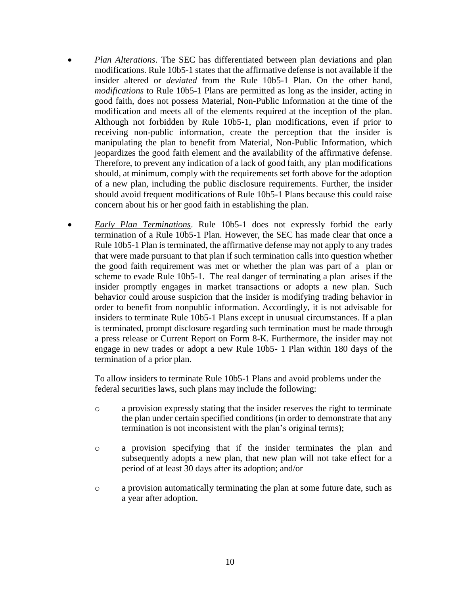- *Plan Alterations*. The SEC has differentiated between plan deviations and plan modifications. Rule 10b5-1 states that the affirmative defense is not available if the insider altered or *deviated* from the Rule 10b5-1 Plan. On the other hand, *modifications* to Rule 10b5-1 Plans are permitted as long as the insider, acting in good faith, does not possess Material, Non-Public Information at the time of the modification and meets all of the elements required at the inception of the plan. Although not forbidden by Rule 10b5-1, plan modifications, even if prior to receiving non-public information, create the perception that the insider is manipulating the plan to benefit from Material, Non-Public Information, which jeopardizes the good faith element and the availability of the affirmative defense. Therefore, to prevent any indication of a lack of good faith, any plan modifications should, at minimum, comply with the requirements set forth above for the adoption of a new plan, including the public disclosure requirements. Further, the insider should avoid frequent modifications of Rule 10b5-1 Plans because this could raise concern about his or her good faith in establishing the plan.
- *Early Plan Terminations*. Rule 10b5-1 does not expressly forbid the early termination of a Rule 10b5-1 Plan. However, the SEC has made clear that once a Rule 10b5-1 Plan is terminated, the affirmative defense may not apply to any trades that were made pursuant to that plan if such termination calls into question whether the good faith requirement was met or whether the plan was part of a plan or scheme to evade Rule 10b5-1. The real danger of terminating a plan arises if the insider promptly engages in market transactions or adopts a new plan. Such behavior could arouse suspicion that the insider is modifying trading behavior in order to benefit from nonpublic information. Accordingly, it is not advisable for insiders to terminate Rule 10b5-1 Plans except in unusual circumstances. If a plan is terminated, prompt disclosure regarding such termination must be made through a press release or Current Report on Form 8-K. Furthermore, the insider may not engage in new trades or adopt a new Rule 10b5- 1 Plan within 180 days of the termination of a prior plan.

To allow insiders to terminate Rule 10b5-1 Plans and avoid problems under the federal securities laws, such plans may include the following:

- o a provision expressly stating that the insider reserves the right to terminate the plan under certain specified conditions (in order to demonstrate that any termination is not inconsistent with the plan's original terms);
- o a provision specifying that if the insider terminates the plan and subsequently adopts a new plan, that new plan will not take effect for a period of at least 30 days after its adoption; and/or
- o a provision automatically terminating the plan at some future date, such as a year after adoption.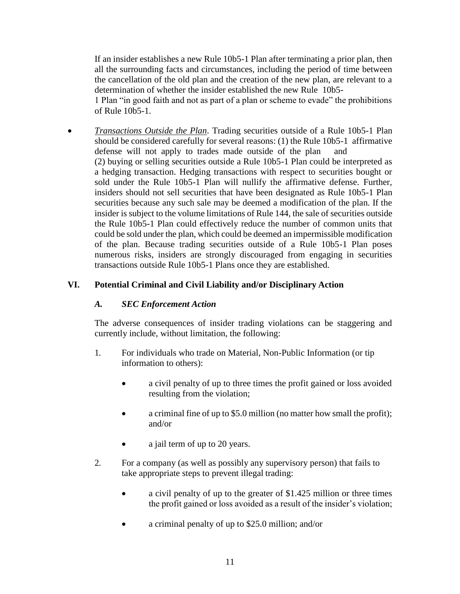If an insider establishes a new Rule 10b5-1 Plan after terminating a prior plan, then all the surrounding facts and circumstances, including the period of time between the cancellation of the old plan and the creation of the new plan, are relevant to a determination of whether the insider established the new Rule 10b5-

1 Plan "in good faith and not as part of a plan or scheme to evade" the prohibitions of Rule 10b5-1.

 *Transactions Outside the Plan*. Trading securities outside of a Rule 10b5-1 Plan should be considered carefully for several reasons: (1) the Rule 10b5-1 affirmative defense will not apply to trades made outside of the plan and (2) buying or selling securities outside a Rule 10b5-1 Plan could be interpreted as a hedging transaction. Hedging transactions with respect to securities bought or sold under the Rule 10b5-1 Plan will nullify the affirmative defense. Further, insiders should not sell securities that have been designated as Rule 10b5-1 Plan securities because any such sale may be deemed a modification of the plan. If the insider is subject to the volume limitations of Rule 144, the sale of securities outside the Rule 10b5-1 Plan could effectively reduce the number of common units that could be sold under the plan, which could be deemed an impermissible modification of the plan. Because trading securities outside of a Rule 10b5-1 Plan poses numerous risks, insiders are strongly discouraged from engaging in securities transactions outside Rule 10b5-1 Plans once they are established.

# **VI. Potential Criminal and Civil Liability and/or Disciplinary Action**

## *A. SEC Enforcement Action*

The adverse consequences of insider trading violations can be staggering and currently include, without limitation, the following:

- 1. For individuals who trade on Material, Non-Public Information (or tip information to others):
	- a civil penalty of up to three times the profit gained or loss avoided resulting from the violation;
	- a criminal fine of up to \$5.0 million (no matter how small the profit); and/or
	- a jail term of up to 20 years.
- 2. For a company (as well as possibly any supervisory person) that fails to take appropriate steps to prevent illegal trading:
	- a civil penalty of up to the greater of \$1.425 million or three times the profit gained or loss avoided as a result of the insider's violation;
	- a criminal penalty of up to \$25.0 million; and/or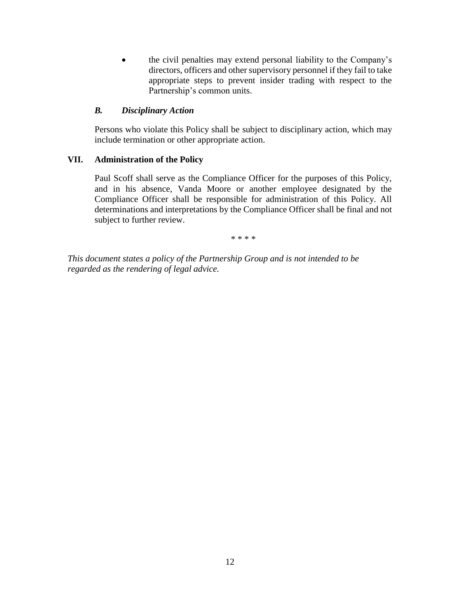the civil penalties may extend personal liability to the Company's directors, officers and other supervisory personnel if they fail to take appropriate steps to prevent insider trading with respect to the Partnership's common units.

#### *B. Disciplinary Action*

Persons who violate this Policy shall be subject to disciplinary action, which may include termination or other appropriate action.

### **VII. Administration of the Policy**

Paul Scoff shall serve as the Compliance Officer for the purposes of this Policy, and in his absence, Vanda Moore or another employee designated by the Compliance Officer shall be responsible for administration of this Policy. All determinations and interpretations by the Compliance Officer shall be final and not subject to further review.

\* \* \* \*

*This document states a policy of the Partnership Group and is not intended to be regarded as the rendering of legal advice.*